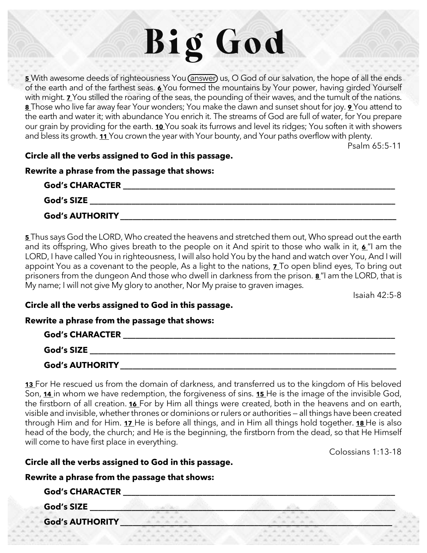# Big God

**[5](https://biblehub.com/psalms/65-5.htm)** With awesome deeds of righteousness You (answer) us, O God of our salvation, the hope of all the ends of the earth and of the farthest seas. **[6](https://biblehub.com/psalms/65-6.htm)** You formed the mountains by Your power, having girded Yourself with might. **[7](https://biblehub.com/psalms/65-7.htm)** You stilled the roaring of the seas, the pounding of their waves, and the tumult of the nations. **[8](https://biblehub.com/psalms/65-8.htm)** Those who live far away fear Your wonders; You make the dawn and sunset shout for joy. **[9](https://biblehub.com/psalms/65-9.htm)** You attend to the earth and water it; with abundance You enrich it. The streams of God are full of water, for You prepare our grain by providing for the earth. **[10](https://biblehub.com/psalms/65-10.htm)** You soak its furrows and level its ridges; You soften it with showers and bless its growth. **[11](https://biblehub.com/psalms/65-11.htm)** You crown the year with Your bounty, and Your paths overflow with plenty.

Psalm 65:5-11

#### **Circle all the verbs assigned to God in this passage.**

#### **Rewrite a phrase from the passage that shows:**

| <b>God's CHARACTER</b> |  |
|------------------------|--|
| God's SIZE             |  |
| <b>God's AUTHORITY</b> |  |

**[5](http://biblehub.com/isaiah/42-5.htm)** Thus says God the LORD, Who created the heavens and stretched them out, Who spread out the earth and its offspring, Who gives breath to the people on it And spirit to those who walk in it, **[6](http://biblehub.com/isaiah/42-6.htm)** "I am the LORD, I have called You in righteousness, I will also hold You by the hand and watch over You, And I will appoint You as a covenant to the people, As a light to the nations, **[7](http://biblehub.com/isaiah/42-7.htm)** To open blind eyes, To bring out prisoners from the dungeon And those who dwell in darkness from the prison. **[8](http://biblehub.com/isaiah/42-8.htm)** "I am the LORD, that is My name; I will not give My glory to another, Nor My praise to graven images.

Isaiah 42:5-8

#### **Circle all the verbs assigned to God in this passage.**

#### **Rewrite a phrase from the passage that shows:**

| <b>God's CHARACTER</b> |  |
|------------------------|--|
| <b>God's SIZE</b>      |  |
| <b>God's AUTHORITY</b> |  |

**[13](http://biblehub.com/colossians/1-13.htm)** For He rescued us from the domain of darkness, and transferred us to the kingdom of His beloved Son, **[14](http://biblehub.com/colossians/1-14.htm)** in whom we have redemption, the forgiveness of sins. **[15](http://biblehub.com/colossians/1-15.htm)** He is the image of the invisible God, the firstborn of all creation. **[16](http://biblehub.com/colossians/1-16.htm)** For by Him all things were created, both in the heavens and on earth, visible and invisible, whether thrones or dominions or rulers or authorities — all things have been created through Him and for Him. **[17](http://biblehub.com/colossians/1-17.htm)** He is before all things, and in Him all things hold together. **[18](http://biblehub.com/colossians/1-18.htm)** He is also head of the body, the church; and He is the beginning, the firstborn from the dead, so that He Himself will come to have first place in everything.

Colossians 1:13-18

#### **Circle all the verbs assigned to God in this passage.**

### **Rewrite a phrase from the passage that shows:**

| <b>God's CHARACTER</b> |  |  |  |
|------------------------|--|--|--|
| <b>God's SIZE</b>      |  |  |  |
| <b>God's AUTHORITY</b> |  |  |  |
|                        |  |  |  |